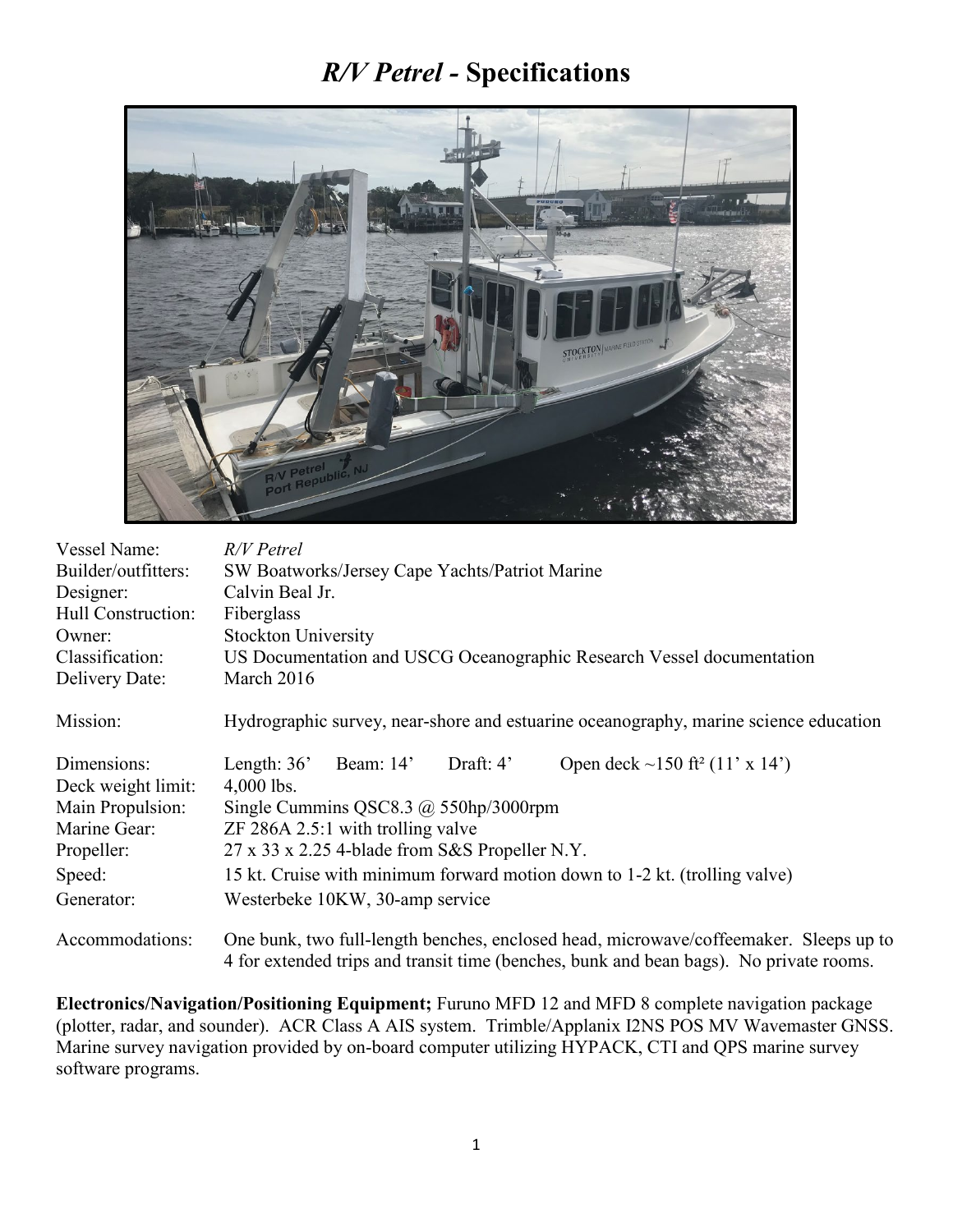## *R/V Petrel -* **Specifications**



| Vessel Name:<br>Builder/outfitters:<br>Designer:<br>Hull Construction:<br>Owner:<br>Classification:<br>Delivery Date: | R/V Petrel<br>SW Boatworks/Jersey Cape Yachts/Patriot Marine<br>Calvin Beal Jr.<br>Fiberglass<br><b>Stockton University</b><br>US Documentation and USCG Oceanographic Research Vessel documentation<br>March 2016                               |
|-----------------------------------------------------------------------------------------------------------------------|--------------------------------------------------------------------------------------------------------------------------------------------------------------------------------------------------------------------------------------------------|
| Mission:                                                                                                              | Hydrographic survey, near-shore and estuarine oceanography, marine science education                                                                                                                                                             |
| Dimensions:<br>Deck weight limit:<br>Main Propulsion:<br>Marine Gear:<br>Propeller:                                   | Length: $36'$<br>Beam: 14'<br>Open deck ~150 ft <sup>2</sup> (11' x 14')<br>Draft: $4'$<br>$4,000$ lbs.<br>Single Cummins QSC8.3 $\omega$ 550hp/3000rpm<br>$ZF$ 286A 2.5:1 with trolling valve<br>27 x 33 x 2.25 4-blade from S&S Propeller N.Y. |
| Speed:                                                                                                                | 15 kt. Cruise with minimum forward motion down to 1-2 kt. (trolling valve)                                                                                                                                                                       |
| Generator:                                                                                                            | Westerbeke 10KW, 30-amp service                                                                                                                                                                                                                  |
| Accommodations:                                                                                                       | One bunk, two full-length benches, enclosed head, microwave/coffeemaker. Sleeps up to<br>4 for extended trips and transit time (benches, bunk and bean bags). No private rooms.                                                                  |

**Electronics/Navigation/Positioning Equipment;** Furuno MFD 12 and MFD 8 complete navigation package (plotter, radar, and sounder). ACR Class A AIS system. Trimble/Applanix I2NS POS MV Wavemaster GNSS. Marine survey navigation provided by on-board computer utilizing HYPACK, CTI and QPS marine survey software programs.